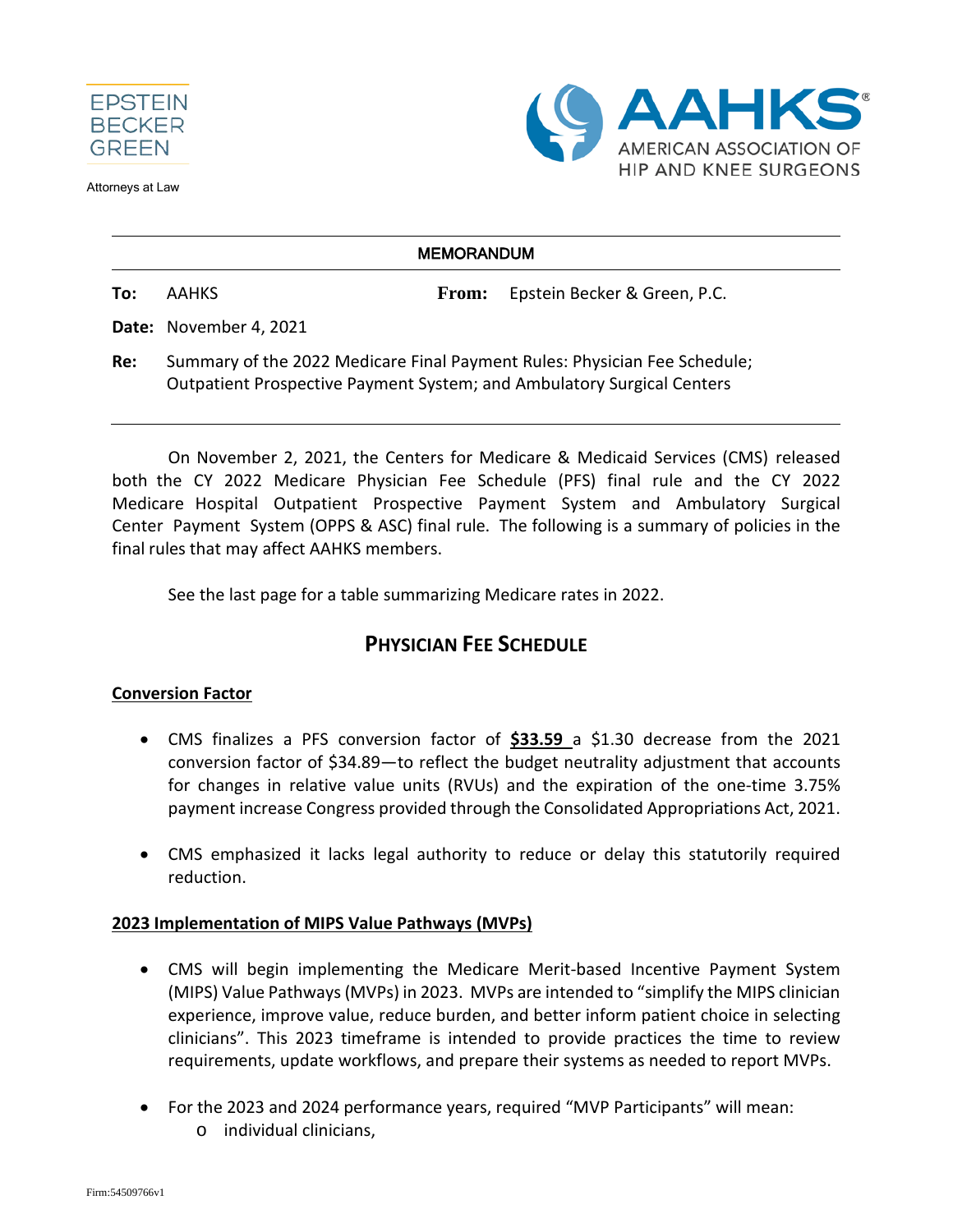

Attorneys at Law



### **MEMORANDUM**

**To:** AAHKS **From:** Epstein Becker & Green, P.C.

**Date:** November 4, 2021

**Re:** Summary of the 2022 Medicare Final Payment Rules: Physician Fee Schedule; Outpatient Prospective Payment System; and Ambulatory Surgical Centers

On November 2, 2021, the Centers for Medicare & Medicaid Services (CMS) released both the CY 2022 Medicare Physician Fee Schedule (PFS) final rule and the CY 2022 Medicare Hospital Outpatient Prospective Payment System and Ambulatory Surgical Center Payment System (OPPS & ASC) final rule. The following is a summary of policies in the final rules that may affect AAHKS members.

See the last page for a table summarizing Medicare rates in 2022.

# **PHYSICIAN FEE SCHEDULE**

# **Conversion Factor**

- CMS finalizes a PFS conversion factor of **\$33.59** a \$1.30 decrease from the 2021 conversion factor of \$34.89—to reflect the budget neutrality adjustment that accounts for changes in relative value units (RVUs) and the expiration of the one-time 3.75% payment increase Congress provided through the Consolidated Appropriations Act, 2021.
- CMS emphasized it lacks legal authority to reduce or delay this statutorily required reduction.

### **2023 Implementation of MIPS Value Pathways (MVPs)**

- CMS will begin implementing the Medicare Merit-based Incentive Payment System (MIPS) Value Pathways (MVPs) in 2023. MVPs are intended to "simplify the MIPS clinician experience, improve value, reduce burden, and better inform patient choice in selecting clinicians". This 2023 timeframe is intended to provide practices the time to review requirements, update workflows, and prepare their systems as needed to report MVPs.
- For the 2023 and 2024 performance years, required "MVP Participants" will mean:
	- o individual clinicians,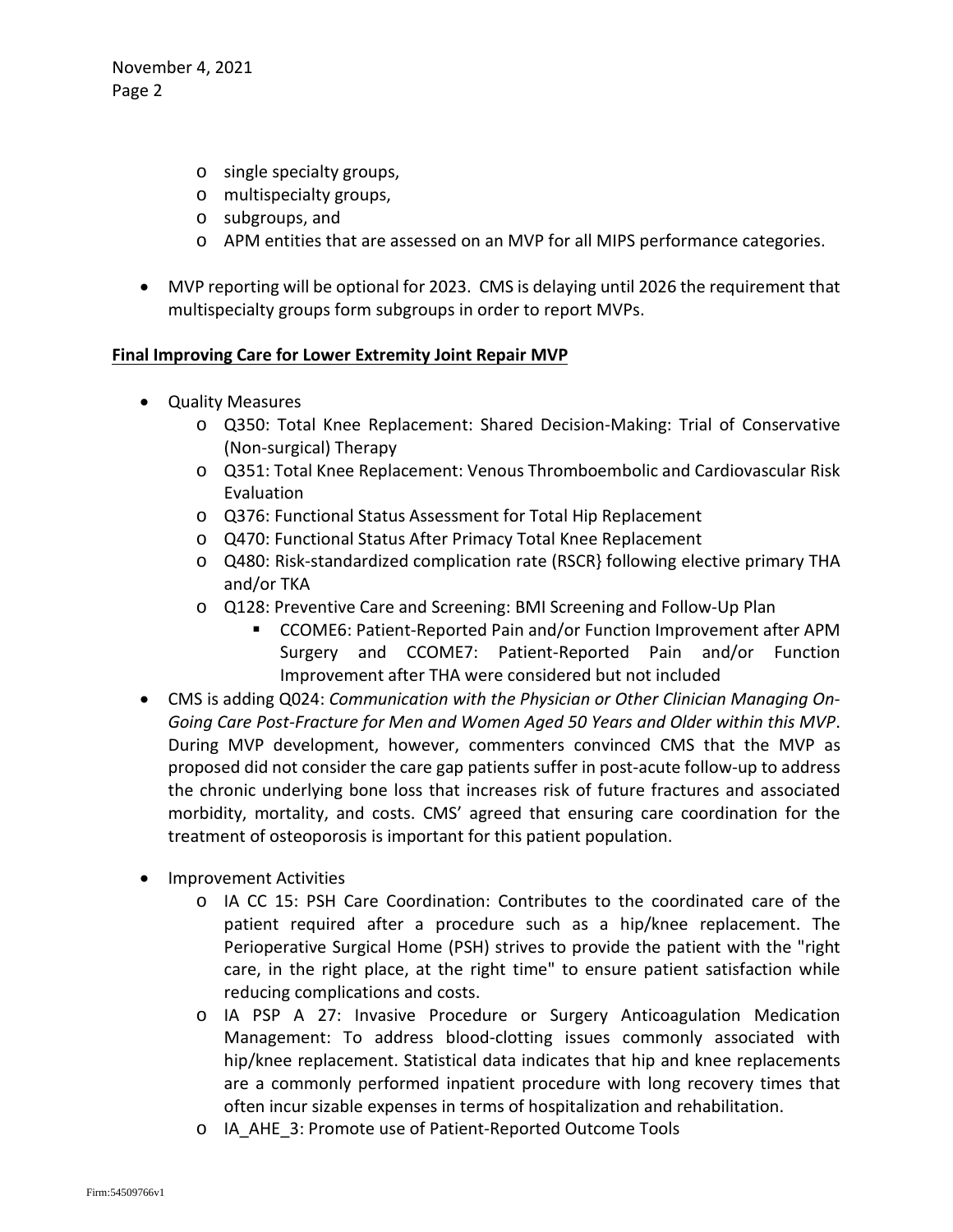November 4, 2021 Page 2

- o single specialty groups,
- o multispecialty groups,
- o subgroups, and
- o APM entities that are assessed on an MVP for all MIPS performance categories.
- MVP reporting will be optional for 2023. CMS is delaying until 2026 the requirement that multispecialty groups form subgroups in order to report MVPs.

### **Final Improving Care for Lower Extremity Joint Repair MVP**

- Quality Measures
	- o Q350: Total Knee Replacement: Shared Decision-Making: Trial of Conservative (Non-surgical) Therapy
	- o Q351: Total Knee Replacement: Venous Thromboembolic and Cardiovascular Risk Evaluation
	- o Q376: Functional Status Assessment for Total Hip Replacement
	- o Q470: Functional Status After Primacy Total Knee Replacement
	- o Q480: Risk-standardized complication rate (RSCR} following elective primary THA and/or TKA
	- o Q128: Preventive Care and Screening: BMI Screening and Follow-Up Plan
		- CCOME6: Patient-Reported Pain and/or Function Improvement after APM Surgery and CCOME7: Patient-Reported Pain and/or Function Improvement after THA were considered but not included
- CMS is adding Q024: *Communication with the Physician or Other Clinician Managing On-Going Care Post-Fracture for Men and Women Aged 50 Years and Older within this MVP*. During MVP development, however, commenters convinced CMS that the MVP as proposed did not consider the care gap patients suffer in post-acute follow-up to address the chronic underlying bone loss that increases risk of future fractures and associated morbidity, mortality, and costs. CMS' agreed that ensuring care coordination for the treatment of osteoporosis is important for this patient population.
- Improvement Activities
	- o IA CC 15: PSH Care Coordination: Contributes to the coordinated care of the patient required after a procedure such as a hip/knee replacement. The Perioperative Surgical Home (PSH) strives to provide the patient with the "right care, in the right place, at the right time" to ensure patient satisfaction while reducing complications and costs.
	- o IA PSP A 27: Invasive Procedure or Surgery Anticoagulation Medication Management: To address blood-clotting issues commonly associated with hip/knee replacement. Statistical data indicates that hip and knee replacements are a commonly performed inpatient procedure with long recovery times that often incur sizable expenses in terms of hospitalization and rehabilitation.
	- o IA\_AHE\_3: Promote use of Patient-Reported Outcome Tools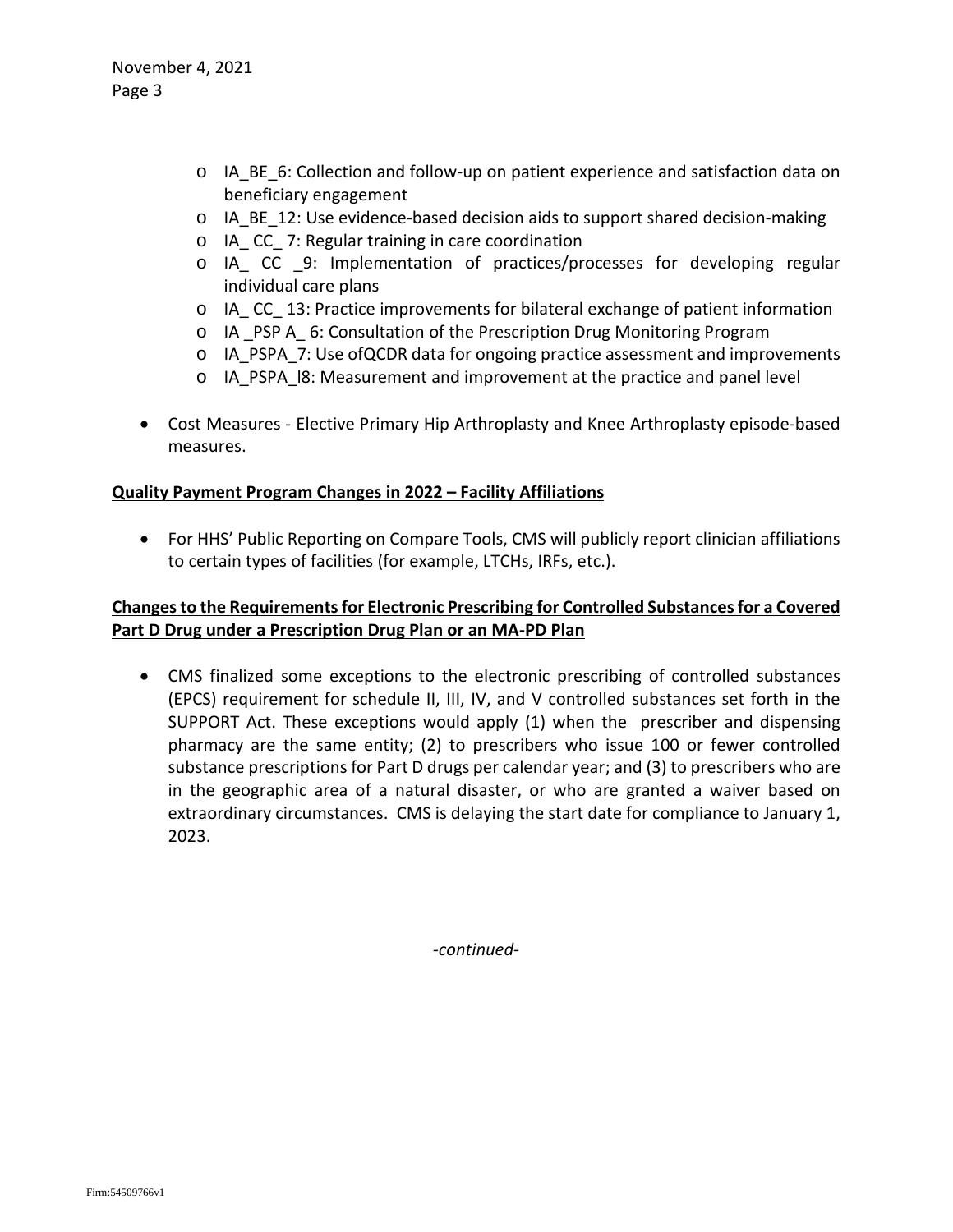- $\circ$  IA BE 6: Collection and follow-up on patient experience and satisfaction data on beneficiary engagement
- o IA\_BE\_12: Use evidence-based decision aids to support shared decision-making
- o IA\_ CC\_ 7: Regular training in care coordination
- o IA\_ CC \_9: Implementation of practices/processes for developing regular individual care plans
- o IA\_ CC\_ 13: Practice improvements for bilateral exchange of patient information
- o IA \_PSP A\_ 6: Consultation of the Prescription Drug Monitoring Program
- o IA\_PSPA\_7: Use ofQCDR data for ongoing practice assessment and improvements
- o IA\_PSPA\_l8: Measurement and improvement at the practice and panel level
- Cost Measures Elective Primary Hip Arthroplasty and Knee Arthroplasty episode-based measures.

# **Quality Payment Program Changes in 2022 – Facility Affiliations**

• For HHS' Public Reporting on Compare Tools, CMS will publicly report clinician affiliations to certain types of facilities (for example, LTCHs, IRFs, etc.).

# **Changes to the Requirements for Electronic Prescribing for Controlled Substances for a Covered Part D Drug under a Prescription Drug Plan or an MA-PD Plan**

• CMS finalized some exceptions to the electronic prescribing of controlled substances (EPCS) requirement for schedule II, III, IV, and V controlled substances set forth in the SUPPORT Act. These exceptions would apply (1) when the prescriber and dispensing pharmacy are the same entity; (2) to prescribers who issue 100 or fewer controlled substance prescriptions for Part D drugs per calendar year; and (3) to prescribers who are in the geographic area of a natural disaster, or who are granted a waiver based on extraordinary circumstances. CMS is delaying the start date for compliance to January 1, 2023.

*-continued-*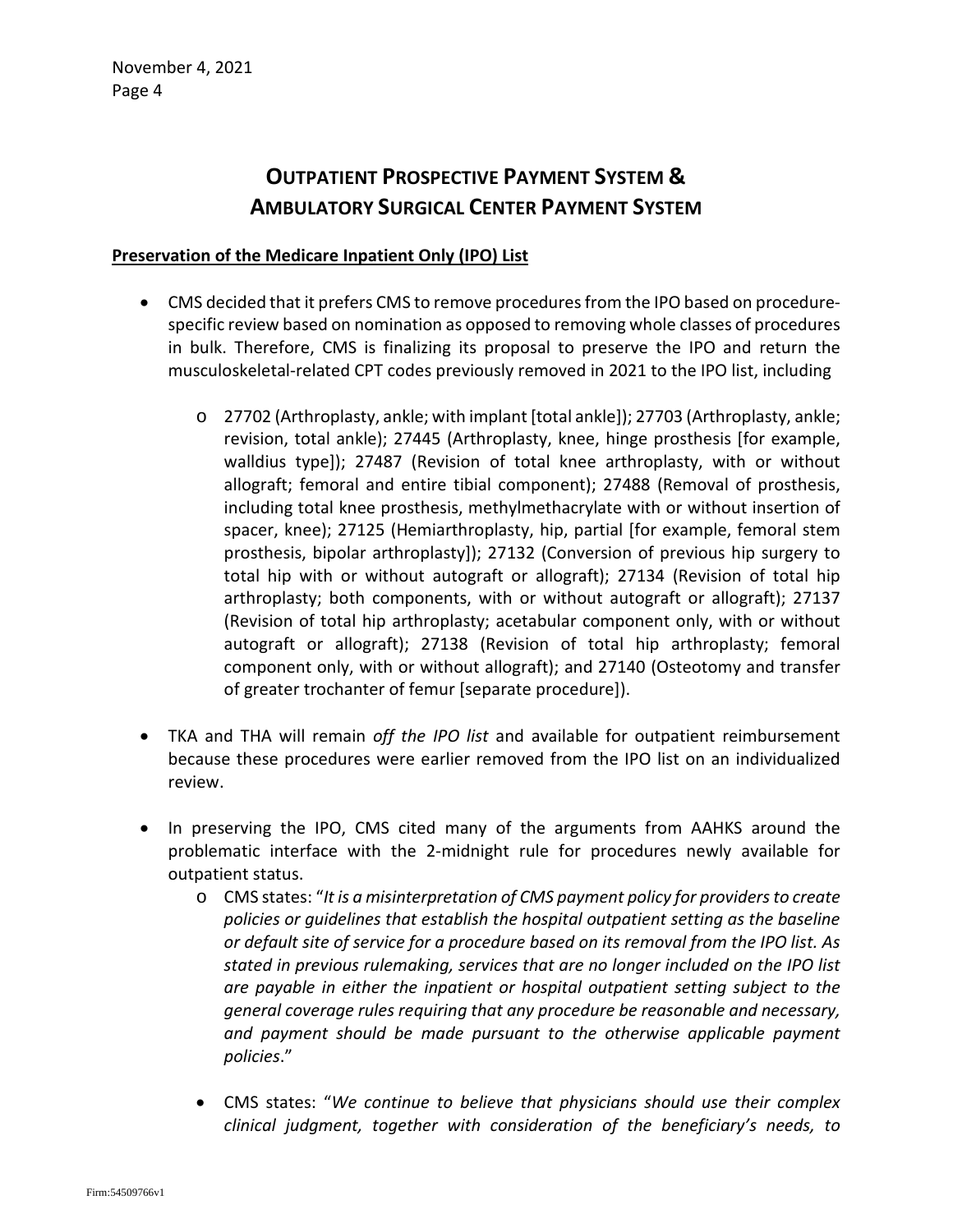# **OUTPATIENT PROSPECTIVE PAYMENT SYSTEM & AMBULATORY SURGICAL CENTER PAYMENT SYSTEM**

### **Preservation of the Medicare Inpatient Only (IPO) List**

- CMS decided that it prefers CMS to remove procedures from the IPO based on procedurespecific review based on nomination as opposed to removing whole classes of procedures in bulk. Therefore, CMS is finalizing its proposal to preserve the IPO and return the musculoskeletal-related CPT codes previously removed in 2021 to the IPO list, including
	- o 27702 (Arthroplasty, ankle; with implant [total ankle]); 27703 (Arthroplasty, ankle; revision, total ankle); 27445 (Arthroplasty, knee, hinge prosthesis [for example, walldius type]); 27487 (Revision of total knee arthroplasty, with or without allograft; femoral and entire tibial component); 27488 (Removal of prosthesis, including total knee prosthesis, methylmethacrylate with or without insertion of spacer, knee); 27125 (Hemiarthroplasty, hip, partial [for example, femoral stem prosthesis, bipolar arthroplasty]); 27132 (Conversion of previous hip surgery to total hip with or without autograft or allograft); 27134 (Revision of total hip arthroplasty; both components, with or without autograft or allograft); 27137 (Revision of total hip arthroplasty; acetabular component only, with or without autograft or allograft); 27138 (Revision of total hip arthroplasty; femoral component only, with or without allograft); and 27140 (Osteotomy and transfer of greater trochanter of femur [separate procedure]).
- TKA and THA will remain *off the IPO list* and available for outpatient reimbursement because these procedures were earlier removed from the IPO list on an individualized review.
- In preserving the IPO, CMS cited many of the arguments from AAHKS around the problematic interface with the 2-midnight rule for procedures newly available for outpatient status.
	- o CMS states: "*It is a misinterpretation of CMS payment policy for providers to create policies or guidelines that establish the hospital outpatient setting as the baseline or default site of service for a procedure based on its removal from the IPO list. As stated in previous rulemaking, services that are no longer included on the IPO list are payable in either the inpatient or hospital outpatient setting subject to the general coverage rules requiring that any procedure be reasonable and necessary, and payment should be made pursuant to the otherwise applicable payment policies*."
	- CMS states: "*We continue to believe that physicians should use their complex clinical judgment, together with consideration of the beneficiary's needs, to*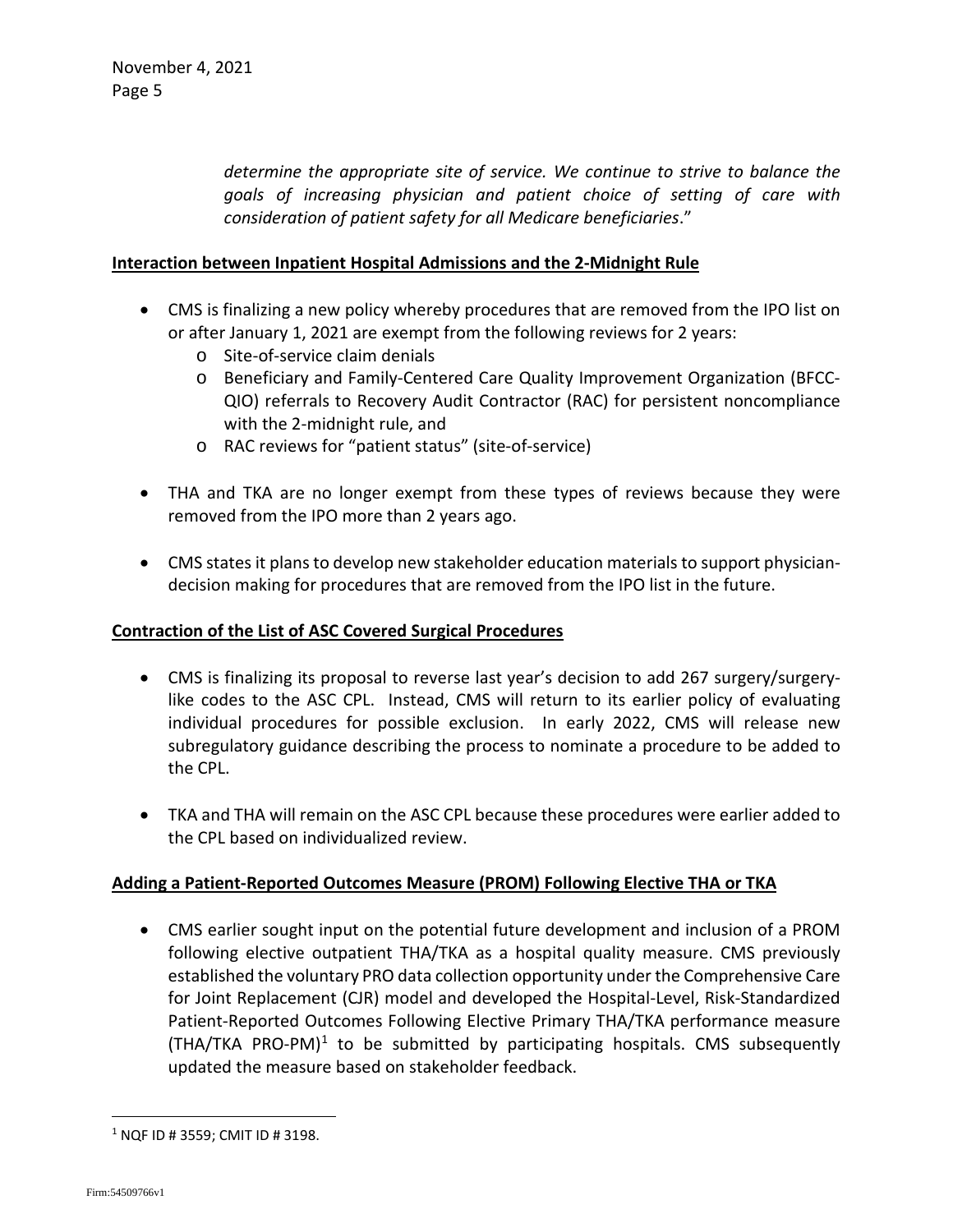*determine the appropriate site of service. We continue to strive to balance the goals of increasing physician and patient choice of setting of care with consideration of patient safety for all Medicare beneficiaries*."

### **Interaction between Inpatient Hospital Admissions and the 2-Midnight Rule**

- CMS is finalizing a new policy whereby procedures that are removed from the IPO list on or after January 1, 2021 are exempt from the following reviews for 2 years:
	- o Site-of-service claim denials
	- o Beneficiary and Family-Centered Care Quality Improvement Organization (BFCC-QIO) referrals to Recovery Audit Contractor (RAC) for persistent noncompliance with the 2-midnight rule, and
	- o RAC reviews for "patient status" (site-of-service)
- THA and TKA are no longer exempt from these types of reviews because they were removed from the IPO more than 2 years ago.
- CMS states it plans to develop new stakeholder education materials to support physiciandecision making for procedures that are removed from the IPO list in the future.

### **Contraction of the List of ASC Covered Surgical Procedures**

- CMS is finalizing its proposal to reverse last year's decision to add 267 surgery/surgerylike codes to the ASC CPL. Instead, CMS will return to its earlier policy of evaluating individual procedures for possible exclusion. In early 2022, CMS will release new subregulatory guidance describing the process to nominate a procedure to be added to the CPL.
- TKA and THA will remain on the ASC CPL because these procedures were earlier added to the CPL based on individualized review.

### **Adding a Patient-Reported Outcomes Measure (PROM) Following Elective THA or TKA**

• CMS earlier sought input on the potential future development and inclusion of a PROM following elective outpatient THA/TKA as a hospital quality measure. CMS previously established the voluntary PRO data collection opportunity under the Comprehensive Care for Joint Replacement (CJR) model and developed the Hospital-Level, Risk-Standardized Patient-Reported Outcomes Following Elective Primary THA/TKA performance measure  $(THA/TKA PRO-PM)<sup>1</sup>$  $(THA/TKA PRO-PM)<sup>1</sup>$  $(THA/TKA PRO-PM)<sup>1</sup>$  to be submitted by participating hospitals. CMS subsequently updated the measure based on stakeholder feedback.

<span id="page-4-0"></span> $1$  NQF ID # 3559; CMIT ID # 3198.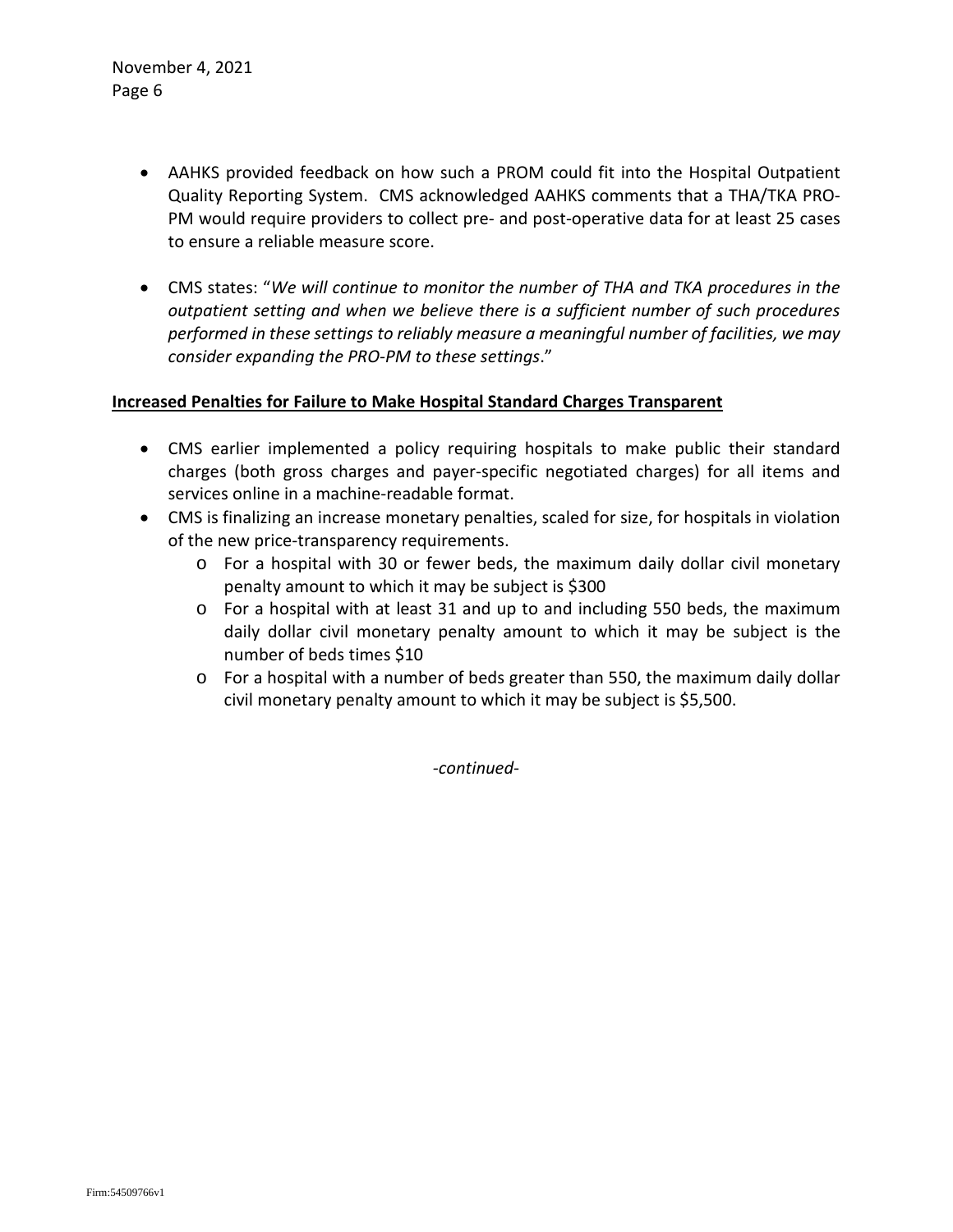- AAHKS provided feedback on how such a PROM could fit into the Hospital Outpatient Quality Reporting System. CMS acknowledged AAHKS comments that a THA/TKA PRO-PM would require providers to collect pre- and post-operative data for at least 25 cases to ensure a reliable measure score.
- CMS states: "*We will continue to monitor the number of THA and TKA procedures in the outpatient setting and when we believe there is a sufficient number of such procedures performed in these settings to reliably measure a meaningful number of facilities, we may consider expanding the PRO-PM to these settings*."

### **Increased Penalties for Failure to Make Hospital Standard Charges Transparent**

- CMS earlier implemented a policy requiring hospitals to make public their standard charges (both gross charges and payer-specific negotiated charges) for all items and services online in a machine-readable format.
- CMS is finalizing an increase monetary penalties, scaled for size, for hospitals in violation of the new price-transparency requirements.
	- o For a hospital with 30 or fewer beds, the maximum daily dollar civil monetary penalty amount to which it may be subject is \$300
	- o For a hospital with at least 31 and up to and including 550 beds, the maximum daily dollar civil monetary penalty amount to which it may be subject is the number of beds times \$10
	- o For a hospital with a number of beds greater than 550, the maximum daily dollar civil monetary penalty amount to which it may be subject is \$5,500.

*-continued-*